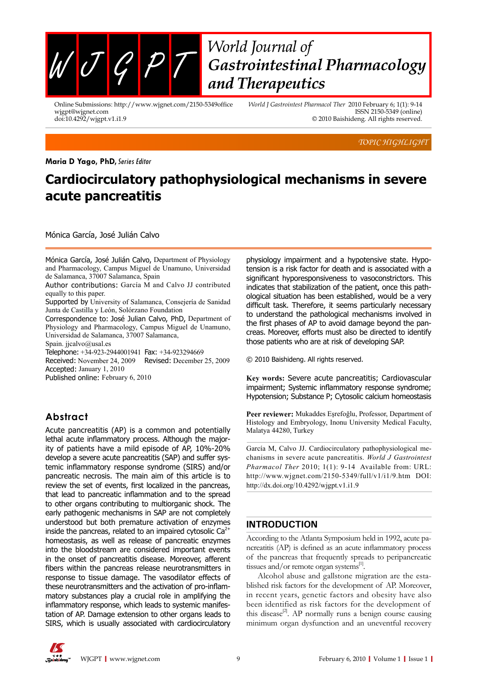

# World Journal of Gastrointestinal Pharmacology and Therapeutics

Online Submissions: http://www.wjgnet.com/2150-5349office wjgpt@wjgnet.com doi:10.4292/wjgpt.v1.i1.9

*World J Gastrointest Pharmacol Ther* 2010 February 6; 1(1): 9-14 ISSN 2150-5349 (online) © 2010 Baishideng. All rights reserved.

*TOPIC HIGHLIGHT*

#### **Maria D Yago, PhD, Series Editor**

## **Cardiocirculatory pathophysiological mechanisms in severe acute pancreatitis**

Mónica García, José Julián Calvo

Mónica García, José Julián Calvo, Department of Physiology and Pharmacology, Campus Miguel de Unamuno, Universidad de Salamanca, 37007 Salamanca, Spain

Author contributions: García M and Calvo JJ contributed equally to this paper.

Supported by University of Salamanca, Consejería de Sanidad Junta de Castilla y León, Solórzano Foundation

Correspondence to: José Julian Calvo, PhD, Department of Physiology and Pharmacology, Campus Miguel de Unamuno, Universidad de Salamanca, 37007 Salamanca,

Spain. jjcalvo@usal.es

Telephone: +34-923-2944001941 Fax: +34-923294669

Received: November 24, 2009 Revised: December 25, 2009 Accepted: January 1, 2010

Published online: February 6, 2010

### **Abstract**

Acute pancreatitis (AP) is a common and potentially lethal acute inflammatory process. Although the majority of patients have a mild episode of AP, 10%-20% develop a severe acute pancreatitis (SAP) and suffer systemic inflammatory response syndrome (SIRS) and/or pancreatic necrosis. The main aim of this article is to review the set of events, first localized in the pancreas, that lead to pancreatic inflammation and to the spread to other organs contributing to multiorganic shock. The early pathogenic mechanisms in SAP are not completely understood but both premature activation of enzymes inside the pancreas, related to an impaired cytosolic  $Ca^{2+}$ homeostasis, as well as release of pancreatic enzymes into the bloodstream are considered important events in the onset of pancreatitis disease. Moreover, afferent fibers within the pancreas release neurotransmitters in response to tissue damage. The vasodilator effects of these neurotransmitters and the activation of pro-inflammatory substances play a crucial role in amplifying the inflammatory response, which leads to systemic manifestation of AP. Damage extension to other organs leads to SIRS, which is usually associated with cardiocirculatory physiology impairment and a hypotensive state. Hypotension is a risk factor for death and is associated with a significant hyporesponsiveness to vasoconstrictors. This indicates that stabilization of the patient, once this pathological situation has been established, would be a very difficult task. Therefore, it seems particularly necessary to understand the pathological mechanisms involved in the first phases of AP to avoid damage beyond the pancreas. Moreover, efforts must also be directed to identify those patients who are at risk of developing SAP.

© 2010 Baishideng. All rights reserved.

**Key words:** Severe acute pancreatitis; Cardiovascular impairment; Systemic inflammatory response syndrome; Hypotension; Substance P; Cytosolic calcium homeostasis

**Peer reviewer:** Mukaddes Eşrefoğlu, Professor, Department of Histology and Embryology, Inonu University Medical Faculty, Malatya 44280, Turkey

García M, Calvo JJ. Cardiocirculatory pathophysiological mechanisms in severe acute pancreatitis. *World J Gastrointest Pharmacol Ther* 2010; 1(1): 9-14 Available from: URL: http://www.wjgnet.com/2150-5349/full/v1/i1/9.htm DOI: http://dx.doi.org/10.4292/wjgpt.v1.i1.9

#### **INTRODUCTION**

According to the Atlanta Symposium held in 1992, acute pancreatitis (AP) is defined as an acute inflammatory process of the pancreas that frequently spreads to peripancreatic tissues and/or remote organ systems $^{[1]}$ .

Alcohol abuse and gallstone migration are the established risk factors for the development of AP. Moreover, in recent years, genetic factors and obesity have also been identified as risk factors for the development of this disease<sup>[2]</sup>. AP normally runs a benign course causing minimum organ dysfunction and an uneventful recovery

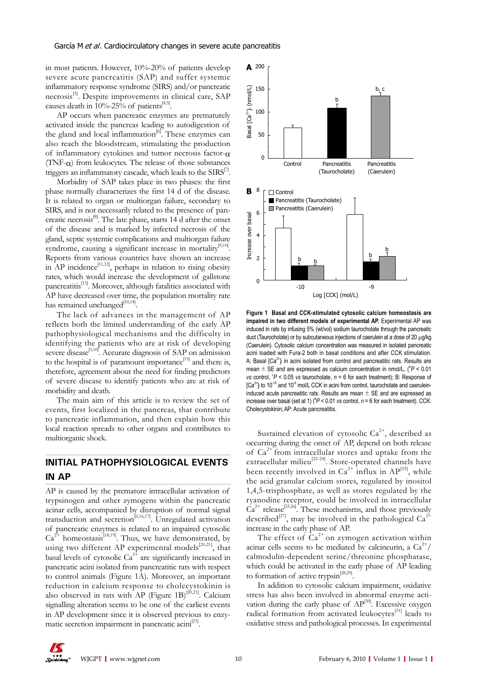in most patients. However, 10%-20% of patients develop severe acute pancreatitis (SAP) and suffer systemic inflammatory response syndrome (SIRS) and/or pancreatic necrosis<sup>[3]</sup>. Despite improvements in clinical care, SAP causes death in  $10\%$ -25% of patients<sup>[4,5]</sup>.

AP occurs when pancreatic enzymes are prematurely activated inside the pancreas leading to autodigestion of the gland and local inflammation<sup>[6]</sup>. These enzymes can also reach the bloodstream, stimulating the production of inflammatory cytokines and tumor necrosis factor-α (TNF- $\alpha$ ) from leukocytes. The release of those substances triggers an inflammatory cascade, which leads to the  $SIRS^{[1]}$ .

Morbidity of SAP takes place in two phases: the first phase normally characterizes the first 14 d of the disease. It is related to organ or multiorgan failure, secondary to SIRS, and is not necessarily related to the presence of pancreatic necrosis[8]. The late phase, starts 14 d after the onset of the disease and is marked by infected necrosis of the gland, septic systemic complications and multiorgan failure syndrome, causing a significant increase in mortality<sup>[9,10]</sup>. Reports from various countries have shown an increase in AP incidence $^{[11,12]}$ , perhaps in relation to rising obesity rates, which would increase the development of gallstone pancreatitis<sup>[13]</sup>. Moreover, although fatalities associated with AP have decreased over time, the population mortality rate has remained unchanged $[10,14]$ 

The lack of advances in the management of AP reflects both the limited understanding of the early AP pathophysiological mechanisms and the difficulty in identifying the patients who are at risk of developing severe disease<sup>[3,10]</sup>. Accurate diagnosis of SAP on admission to the hospital is of paramount importance $[15]$  and there is, therefore, agreement about the need for finding predictors of severe disease to identify patients who are at risk of morbidity and death.

The main aim of this article is to review the set of events, first localized in the pancreas, that contribute to pancreatic inflammation, and then explain how this local reaction spreads to other organs and contributes to multiorganic shock.

## **INITIAL PATHOPHYSIOLOGICAL EVENTS IN AP**

AP is caused by the premature intracellular activation of trypsinogen and other zymogens within the pancreatic acinar cells, accompanied by disruption of normal signal transduction and secretion<sup>[6,16,17]</sup>. Unregulated activation of pancreatic enzymes is related to an impaired cytosolic  $Ca^{2+}$  homeostasis<sup>[18,19]</sup>. Thus, we have demonstrated, by using two different AP experimental models<sup>[20,21]</sup>, that basal levels of cytosolic  $Ca^{2+}$  are significantly increased in pancreatic acini isolated from pancreatitic rats with respect to control animals (Figure 1A). Moreover, an important reduction in calcium response to cholecystokinin is also observed in rats with AP (Figure 1B)<sup>[20,21]</sup>. Calcium signalling alteration seems to be one of the earliest events in AP development since it is observed previous to enzymatic secretion impairment in pancreatic acini<sup>[21]</sup>.



**Figure 1 Basal and CCK-stimulated cytosolic calcium homeostasis are impaired in two different models of experimental AP.** Experimental AP was induced in rats by infusing 5% (wt/vol) sodium taurocholate through the pancreatic duct (Taurocholate) or by subcutaneous injections of caerulein at a dose of 20 μg/kg (Caerulein). Cytosolic calcium concentration was measured in isolated pancreatic acini loaded with Fura-2 both in basal conditions and after CCK stimulation. A: Basal  $[Ca<sup>2+</sup>]$  in acini isolated from control and pancreatitic rats. Results are mean  $\pm$  SE and are expressed as calcium concentration in nmol/L. ( $^{\circ}P$  < 0.01 *vs* control,  $P$  < 0.05 *vs* taurocholate,  $n = 6$  for each treatment); B: Response of  $[Ca^{2+}]$ i to 10<sup>-10</sup> and 10<sup>-9</sup> mol/L CCK in acini from control, taurocholate and caeruleininduced acute pancreatitic rats. Results are mean  $\pm$  SE and are expressed as increase over basal (set at 1) ( $^{b}P$  < 0.01 *vs* control,  $n = 6$  for each treatment). CCK: Cholecystokinin; AP: Acute pancreatitis.

Sustained elevation of cytosolic  $Ca^{2+}$ , described as occurring during the onset of AP, depend on both release of  $Ca^{2+}$  from intracellular stores and uptake from the extracellular milieu<sup>[22-24]</sup>. Store-operated channels have been recently involved in  $Ca^{2+}$  influx in  $AP^{[25]}$ , while the acid granular calcium stores, regulated by inositol 1,4,5-trisphosphate, as well as stores regulated by the ryanodine receptor, could be involved in intracellular  $Ca^{2+}$  release<sup>[23,26]</sup>. These mechanisms, and those previously described<sup>[27]</sup>, may be involved in the pathological  $Ca^{24}$ increase in the early phase of AP.

The effect of  $Ca^{2+}$  on zymogen activation within acinar cells seems to be mediated by calcineurin, a  $Ca^{2+}/$ calmodulin-dependent serine/threonine phosphatase, which could be activated in the early phase of AP leading to formation of active trypsin<sup>[28,29]</sup>.

In addition to cytosolic calcium impairment, oxidative stress has also been involved in abnormal enzyme activation during the early phase of  $AP^{[30]}$ . Excessive oxygen radical formation from activated leukocytes $[31]$  leads to oxidative stress and pathological processes. In experimental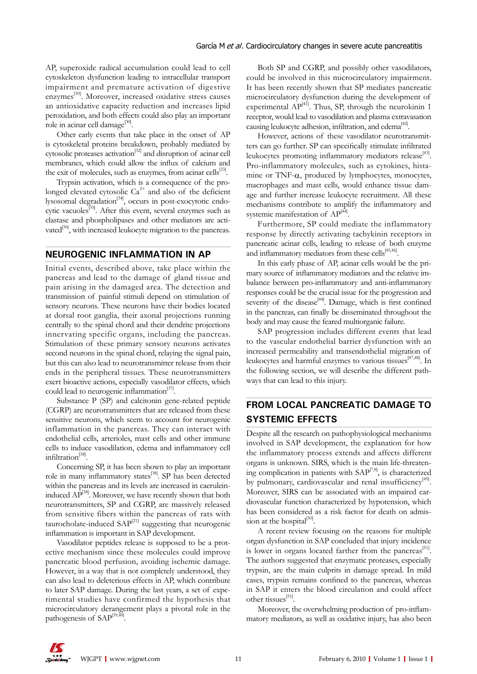AP, superoxide radical accumulation could lead to cell cytoskeleton dysfunction leading to intracellular transport impairment and premature activation of digestive enzymes<sup>[30]</sup>. Moreover, increased oxidative stress causes an antioxidative capacity reduction and increases lipid peroxidation, and both effects could also play an important role in acinar cell damage<sup>[30]</sup>.

Other early events that take place in the onset of AP is cytoskeletal proteins breakdown, probably mediated by cytosolic proteases activation[32] and disruption of acinar cell membranes, which could allow the influx of calcium and the exit of molecules, such as enzymes, from acinar cells<sup>[33]</sup>.

Trypsin activation, which is a consequence of the prolonged elevated cytosolic  $Ca^{2+}$  and also of the deficient lysosomal degradation[34], occurs in post-exocytotic endocytic vacuoles<sup>[35]</sup>. After this event, several enzymes such as elastase and phospholipases and other mediators are activated<sup>[36]</sup>, with increased leukocyte migration to the pancreas.

#### **NEUROGENIC INFLAMMATION IN AP**

Initial events, described above, take place within the pancreas and lead to the damage of gland tissue and pain arising in the damaged area. The detection and transmission of painful stimuli depend on stimulation of sensory neurons. These neurons have their bodies located at dorsal root ganglia, their axonal projections running centrally to the spinal chord and their dendrite projections innervating specific organs, including the pancreas. Stimulation of these primary sensory neurons activates second neurons in the spinal chord, relaying the signal pain, but this can also lead to neurotransmitter release from their ends in the peripheral tissues. These neurotransmitters exert bioactive actions, especially vasodilator effects, which could lead to neurogenic inflammation<sup>[37]</sup>.

Substance P (SP) and calcitonin gene-related peptide (CGRP) are neurotransmitters that are released from these sensitive neurons, which seem to account for neurogenic inflammation in the pancreas. They can interact with endothelial cells, arterioles, mast cells and other immune cells to induce vasodilation, edema and inflammatory cell infiltration $^{[38]}$ .

Concerning SP, it has been shown to play an important role in many inflammatory states<sup>[38]</sup>. SP has been detected within the pancreas and its levels are increased in caeruleininduced  $AP^{[38]}$ . Moreover, we have recently shown that both neurotransmitters, SP and CGRP, are massively released from sensitive fibers within the pancreas of rats with taurocholate-induced  $SAP^{[21]}$  suggesting that neurogenic inflammation is important in SAP development.

Vasodilator peptides release is supposed to be a protective mechanism since these molecules could improve pancreatic blood perfusion, avoiding ischemic damage. However, in a way that is not completely understood, they can also lead to deleterious effects in AP, which contribute to later SAP damage. During the last years, a set of experimental studies have confirmed the hypothesis that microcirculatory derangement plays a pivotal role in the pathogenesis of  $SAP^{[39,40]}$ .

Both SP and CGRP, and possibly other vasodilators, could be involved in this microcirculatory impairment. It has been recently shown that SP mediates pancreatic microcirculatory dysfunction during the development of experimental  $AP^{[41]}$ . Thus, SP, through the neurokinin 1 receptor, would lead to vasodilation and plasma extravasation causing leukocyte adhesion, infiltration, and edema<sup>[42]</sup>.

However, actions of these vasodilator neurotransmitters can go further. SP can specifically stimulate infiltrated leukocytes promoting inflammatory mediators release<sup>[43]</sup>. Pro-inflammatory molecules, such as cytokines, histamine or TNF- $\alpha$ , produced by lymphocytes, monocytes, macrophages and mast cells, would enhance tissue damage and further increase leukocyte recruitment. All these mechanisms contribute to amplify the inflammatory and systemic manifestation of AP<sup>[44]</sup>.

Furthermore, SP could mediate the inflammatory response by directly activating tachykinin receptors in pancreatic acinar cells, leading to release of both enzyme and inflammatory mediators from these cells<sup>[45,46]</sup>.

In this early phase of AP, acinar cells would be the primary source of inflammatory mediators and the relative imbalance between pro-inflammatory and anti-inflammatory responses could be the crucial issue for the progression and severity of the disease<sup>[44]</sup>. Damage, which is first confined in the pancreas, can finally be disseminated throughout the body and may cause the feared multiorganic failure.

SAP progression includes different events that lead to the vascular endothelial barrier dysfunction with an increased permeability and transendothelial migration of leukocytes and harmful enzymes to various tissues<sup>[47,48]</sup>. In the following section, we will describe the different pathways that can lead to this injury.

## **FROM LOCAL PANCREATIC DAMAGE TO SYSTEMIC EFFECTS**

Despite all the research on pathophysiological mechanisms involved in SAP development, the explanation for how the inflammatory process extends and affects different organs is unknown. SIRS, which is the main life-threatening complication in patients with  $SAP^{[7,8]}$ , is characterized by pulmonary, cardiovascular and renal insufficiency<sup>[49]</sup>. Moreover, SIRS can be associated with an impaired cardiovascular function characterized by hypotension, which has been considered as a risk factor for death on admission at the hospital $[50]$ .

A recent review focusing on the reasons for multiple organ dysfunction in SAP concluded that injury incidence is lower in organs located farther from the pancreas<sup>[51]</sup>. The authors suggested that enzymatic proteases, especially trypsin, are the main culprits in damage spread. In mild cases, trypsin remains confined to the pancreas, whereas in SAP it enters the blood circulation and could affect other tissues<sup>[51]</sup>.

Moreover, the overwhelming production of pro-inflammatory mediators, as well as oxidative injury, has also been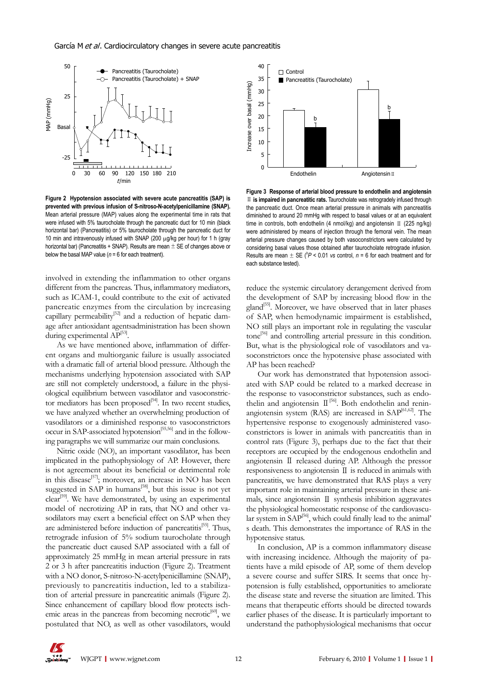#### García M et al. Cardiocirculatory changes in severe acute pancreatitis



**Figure 2 Hypotension associated with severe acute pancreatitis (SAP) is prevented with previous infusion of S-nitroso-N-acetylpenicillamine (SNAP).** Mean arterial pressure (MAP) values along the experimental time in rats that were infused with 5% taurocholate through the pancreatic duct for 10 min (black horizontal bar) (Pancreatitis) or 5% taurocholate through the pancreatic duct for 10 min and intravenously infused with SNAP (200 μg/kg per hour) for 1 h (gray horizontal bar) (Pancreatitis + SNAP). Results are mean  $\pm$  SE of changes above or below the basal MAP value ( $n = 6$  for each treatment).

involved in extending the inflammation to other organs different from the pancreas. Thus, inflammatory mediators, such as ICAM-1, could contribute to the exit of activated pancreatic enzymes from the circulation by increasing capillary permeability<sup>[52]</sup> and a reduction of hepatic damage after antioxidant agentsadministration has been shown during experimental  $\widetilde{AP}^{[53]}.$ 

As we have mentioned above, inflammation of different organs and multiorganic failure is usually associated with a dramatic fall of arterial blood pressure. Although the mechanisms underlying hypotension associated with SAP are still not completely understood, a failure in the physiological equilibrium between vasodilator and vasoconstrictor mediators has been proposed<sup>[54]</sup>. In two recent studies, we have analyzed whether an overwhelming production of vasodilators or a diminished response to vasoconstrictors occur in SAP-associated hypotension[55,56] and in the following paragraphs we will summarize our main conclusions.

Nitric oxide (NO), an important vasodilator, has been implicated in the pathophysiology of AP. However, there is not agreement about its beneficial or detrimental role in this disease<sup>[57]</sup>; moreover, an increase in NO has been suggested in SAP in humans<sup>[58]</sup>, but this issue is not yet clear<sup>[59]</sup>. We have demonstrated, by using an experimental model of necrotizing AP in rats, that NO and other vasodilators may exert a beneficial effect on SAP when they are administered before induction of pancreatitis<sup>[55]</sup>. Thus, retrograde infusion of 5% sodium taurocholate through the pancreatic duct caused SAP associated with a fall of approximately 25 mmHg in mean arterial pressure in rats 2 or 3 h after pancreatitis induction (Figure 2). Treatment with a NO donor, S-nitroso-N-acetylpenicillamine (SNAP), previously to pancreatitis induction, led to a stabilization of arterial pressure in pancreatitic animals (Figure 2). Since enhancement of capillary blood flow protects ischemic areas in the pancreas from becoming necrotic<sup>[60]</sup>, we postulated that NO, as well as other vasodilators, would



**Figure 3 Response of arterial blood pressure to endothelin and angiotensin**  Ⅱ **is impaired in pancreatitic rats.** Taurocholate was retrogradely infused through the pancreatic duct. Once mean arterial pressure in animals with pancreatitis diminished to around 20 mmHg with respect to basal values or at an equivalent time in controls, both endothelin (4 nmol/kg) and angiotensin II (225 ng/kg) were administered by means of injection through the femoral vein. The mean arterial pressure changes caused by both vasoconstrictors were calculated by considering basal values those obtained after taurocholate retrograde infusion. Results are mean  $\pm$  SE ( $^{b}P$  < 0.01 *vs* control, *n* = 6 for each treatment and for each substance tested).

reduce the systemic circulatory derangement derived from the development of SAP by increasing blood flow in the gland<sup>[55]</sup>. Moreover, we have observed that in later phases of SAP, when hemodynamic impairment is established, NO still plays an important role in regulating the vascular tone[56] and controlling arterial pressure in this condition. But, what is the physiological role of vasodilators and vasoconstrictors once the hypotensive phase associated with AP has been reached?

Our work has demonstrated that hypotension associated with SAP could be related to a marked decrease in the response to vasoconstrictor substances, such as endothelin and angiotensin  $\mathbb{I}^{[56]}$ . Both endothelin and reninangiotensin system (RAS) are increased in  $SAP^{[61,62]}$ . The hypertensive response to exogenously administered vasoconstrictors is lower in animals with pancreatitis than in control rats (Figure 3), perhaps due to the fact that their receptors are occupied by the endogenous endothelin and angiotensin Ⅱ released during AP. Although the pressor responsiveness to angiotensin Ⅱ is reduced in animals with pancreatitis, we have demonstrated that RAS plays a very important role in maintaining arterial pressure in these animals, since angiotensin Ⅱ synthesis inhibition aggravates the physiological homeostatic response of the cardiovascular system in SAP<sup>[56]</sup>, which could finally lead to the animal' s death. This demonstrates the importance of RAS in the hypotensive status.

In conclusion, AP is a common inflammatory disease with increasing incidence. Although the majority of patients have a mild episode of AP, some of them develop a severe course and suffer SIRS. It seems that once hypotension is fully established, opportunities to ameliorate the disease state and reverse the situation are limited. This means that therapeutic efforts should be directed towards earlier phases of the disease. It is particularly important to understand the pathophysiological mechanisms that occur

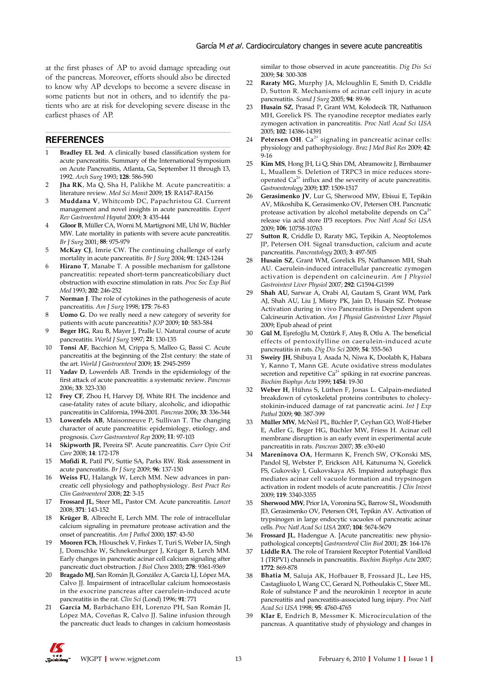at the first phases of AP to avoid damage spreading out of the pancreas. Moreover, efforts should also be directed to know why AP develops to become a severe disease in some patients but not in others, and to identify the patients who are at risk for developing severe disease in the earliest phases of AP.

#### **REFERENCES**

- 1 **Bradley EL 3rd**. A clinically based classification system for acute pancreatitis. Summary of the International Symposium on Acute Pancreatitis, Atlanta, Ga, September 11 through 13, 1992. *Arch Surg* 1993; **128**: 586-590
- 2 **Jha RK**, Ma Q, Sha H, Palikhe M. Acute pancreatitis: a literature review. *Med Sci Monit* 2009; **15**: RA147-RA156
- 3 **Muddana V**, Whitcomb DC, Papachristou GI. Current management and novel insights in acute pancreatitis. *Expert Rev Gastroenterol Hepatol* 2009; **3**: 435-444
- 4 **Gloor B**, Müller CA, Worni M, Martignoni ME, Uhl W, Büchler MW. Late mortality in patients with severe acute pancreatitis. *Br J Surg* 2001; **88**: 975-979
- 5 **McKay CJ**, Imrie CW. The continuing challenge of early mortality in acute pancreatitis. *Br J Surg* 2004; **91**: 1243-1244
- 6 **Hirano T**, Manabe T. A possible mechanism for gallstone pancreatitis: repeated short-term pancreaticobiliary duct obstruction with exocrine stimulation in rats. *Proc Soc Exp Biol Med* 1993; **202**: 246-252
- 7 **Norman J**. The role of cytokines in the pathogenesis of acute pancreatitis. *Am J Surg* 1998; **175**: 76-83
- 8 **Uomo G**. Do we really need a new category of severity for patients with acute pancreatitis? *JOP* 2009; **10**: 583-584
- 9 **Beger HG**, Rau B, Mayer J, Pralle U. Natural course of acute pancreatitis. *World J Surg* 1997; **21**: 130-135
- 10 **Tonsi AF**, Bacchion M, Crippa S, Malleo G, Bassi C. Acute pancreatitis at the beginning of the 21st century: the state of the art. *World J Gastroenterol* 2009; **15**: 2945-2959
- 11 **Yadav D**, Lowenfels AB. Trends in the epidemiology of the first attack of acute pancreatitis: a systematic review. *Pancreas* 2006; **33**: 323-330
- 12 **Frey CF**, Zhou H, Harvey DJ, White RH. The incidence and case-fatality rates of acute biliary, alcoholic, and idiopathic pancreatitis in California, 1994-2001. *Pancreas* 2006; **33**: 336-344
- 13 **Lowenfels AB**, Maisonneuve P, Sullivan T. The changing character of acute pancreatitis: epidemiology, etiology, and prognosis. *Curr Gastroenterol Rep* 2009; **11**: 97-103
- 14 **Skipworth JR**, Pereira SP. Acute pancreatitis. *Curr Opin Crit Care* 2008; **14**: 172-178
- 15 **Mofidi R**, Patil PV, Suttie SA, Parks RW. Risk assessment in acute pancreatitis. *Br J Surg* 2009; **96**: 137-150
- 16 **Weiss FU**, Halangk W, Lerch MM. New advances in pancreatic cell physiology and pathophysiology. *Best Pract Res Clin Gastroenterol* 2008; **22**: 3-15
- 17 **Frossard JL**, Steer ML, Pastor CM. Acute pancreatitis. *Lancet* 2008; **371**: 143-152
- 18 **Krüger B**, Albrecht E, Lerch MM. The role of intracellular calcium signaling in premature protease activation and the onset of pancreatitis. *Am J Pathol* 2000; **157**: 43-50
- 19 **Mooren FCh**, Hlouschek V, Finkes T, Turi S, Weber IA, Singh J, Domschke W, Schnekenburger J, Krüger B, Lerch MM. Early changes in pancreatic acinar cell calcium signaling after pancreatic duct obstruction. *J Biol Chem* 2003; **278**: 9361-9369
- 20 **Bragado MJ**, San Román JI, González A, García LJ, López MA, Calvo JJ. Impairment of intracellular calcium homoeostasis in the exocrine pancreas after caerulein-induced acute pancreatitis in the rat. *Clin Sci* (Lond) 1996; **91**: 771
- 21 **García M**, Barbáchano EH, Lorenzo PH, San Román JI, López MA, Coveñas R, Calvo JJ. Saline infusion through the pancreatic duct leads to changes in calcium homeostasis

similar to those observed in acute pancreatitis. *Dig Dis Sci* 2009; **54**: 300-308

- 22 **Raraty MG**, Murphy JA, Mcloughlin E, Smith D, Criddle D, Sutton R. Mechanisms of acinar cell injury in acute pancreatitis. *Scand J Surg* 2005; **94**: 89-96
- 23 **Husain SZ**, Prasad P, Grant WM, Kolodecik TR, Nathanson MH, Gorelick FS. The ryanodine receptor mediates early zymogen activation in pancreatitis. *Proc Natl Acad Sci USA* 2005; **102**: 14386-14391
- 24 **Petersen OH**.  $Ca<sup>2+</sup>$  signaling in pancreatic acinar cells: physiology and pathophysiology. *Braz J Med Biol Res* 2009; **42**: 9-16
- 25 **Kim MS**, Hong JH, Li Q, Shin DM, Abramowitz J, Birnbaumer L, Muallem S. Deletion of TRPC3 in mice reduces storeoperated  $Ca<sup>2+</sup>$  influx and the severity of acute pancreatitis. *Gastroenterology* 2009; **137**: 1509-1517
- 26 **Gerasimenko JV**, Lur G, Sherwood MW, Ebisui E, Tepikin AV, Mikoshiba K, Gerasimenko OV, Petersen OH. Pancreatic protease activation by alcohol metabolite depends on  $Ca<sup>2+</sup>$ release via acid store IP3 receptors. *Proc Natl Acad Sci USA* 2009; **106**: 10758-10763
- 27 **Sutton R**, Criddle D, Raraty MG, Tepikin A, Neoptolemos JP, Petersen OH. Signal transduction, calcium and acute pancreatitis. *Pancreatology* 2003; **3**: 497-505
- 28 **Husain SZ**, Grant WM, Gorelick FS, Nathanson MH, Shah AU. Caerulein-induced intracellular pancreatic zymogen activation is dependent on calcineurin. *Am J Physiol Gastrointest Liver Physiol* 2007; **292**: G1594-G1599
- 29 **Shah AU**, Sarwar A, Orabi AI, Gautam S, Grant WM, Park AJ, Shah AU, Liu J, Mistry PK, Jain D, Husain SZ. Protease Activation during in vivo Pancreatitis is Dependent upon Calcineurin Activation. *Am J Physiol Gastrointest Liver Physiol* 2009; Epub ahead of print
- 30 **Gül M**, Eşrefoğlu M, Oztürk F, Ateş B, Otlu A. The beneficial effects of pentoxifylline on caerulein-induced acute pancreatitis in rats. *Dig Dis Sci* 2009; **54**: 555-563
- 31 **Sweiry JH**, Shibuya I, Asada N, Niwa K, Doolabh K, Habara Y, Kanno T, Mann GE. Acute oxidative stress modulates secretion and repetitive  $Ca^{2+}$  spiking in rat exocrine pancreas. *Biochim Biophys Acta* 1999; **1454**: 19-30
- 32 **Weber H**, Hühns S, Lüthen F, Jonas L. Calpain-mediated breakdown of cytoskeletal proteins contributes to cholecystokinin-induced damage of rat pancreatic acini. *Int J Exp Pathol* 2009; **90**: 387-399
- 33 **Müller MW**, McNeil PL, Büchler P, Ceyhan GO, Wolf-Hieber E, Adler G, Beger HG, Büchler MW, Friess H. Acinar cell membrane disruption is an early event in experimental acute pancreatitis in rats. *Pancreas* 2007; **35**: e30-e40
- 34 **Mareninova OA**, Hermann K, French SW, O'Konski MS, Pandol SJ, Webster P, Erickson AH, Katunuma N, Gorelick FS, Gukovsky I, Gukovskaya AS. Impaired autophagic flux mediates acinar cell vacuole formation and trypsinogen activation in rodent models of acute pancreatitis. *J Clin Invest* 2009; **119**: 3340-3355
- 35 **Sherwood MW**, Prior IA, Voronina SG, Barrow SL, Woodsmith JD, Gerasimenko OV, Petersen OH, Tepikin AV. Activation of trypsinogen in large endocytic vacuoles of pancreatic acinar cells. *Proc Natl Acad Sci USA* 2007; **104**: 5674-5679
- 36 **Frossard JL**, Hadengue A. [Acute pancreatitis: new physiopathological concepts] *Gastroenterol Clin Biol* 2001; **25**: 164-176
- 37 **Liddle RA**. The role of Transient Receptor Potential Vanilloid 1 (TRPV1) channels in pancreatitis. *Biochim Biophys Acta* 2007; **1772**: 869-878
- 38 **Bhatia M**, Saluja AK, Hofbauer B, Frossard JL, Lee HS, Castagliuolo I, Wang CC, Gerard N, Pothoulakis C, Steer ML. Role of substance P and the neurokinin 1 receptor in acute pancreatitis and pancreatitis-associated lung injury. *Proc Natl Acad Sci USA* 1998; **95**: 4760-4765
- 39 **Klar E**, Endrich B, Messmer K. Microcirculation of the pancreas. A quantitative study of physiology and changes in